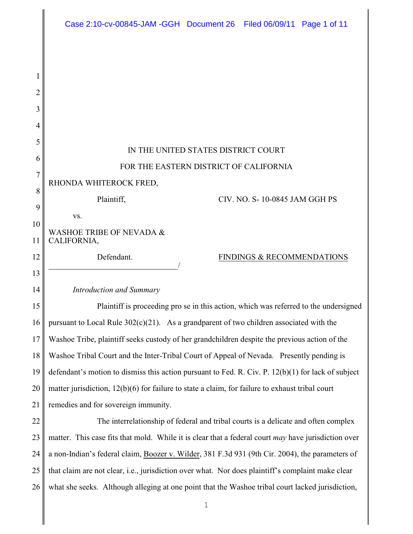|    | Case 2:10-cv-00845-JAM -GGH Document 26 Filed 06/09/11 Page 1 of 11                                 |
|----|-----------------------------------------------------------------------------------------------------|
|    |                                                                                                     |
|    |                                                                                                     |
| 2  |                                                                                                     |
| 3  |                                                                                                     |
| 4  |                                                                                                     |
| 5  |                                                                                                     |
| 6  | IN THE UNITED STATES DISTRICT COURT                                                                 |
| 7  | FOR THE EASTERN DISTRICT OF CALIFORNIA                                                              |
| 8  | RHONDA WHITEROCK FRED,                                                                              |
| 9  | Plaintiff,<br>CIV. NO. S-10-0845 JAM GGH PS                                                         |
| 10 | VS.                                                                                                 |
| 11 | WASHOE TRIBE OF NEVADA &<br>CALIFORNIA,                                                             |
| 12 | Defendant.<br>FINDINGS & RECOMMENDATIONS                                                            |
| 13 |                                                                                                     |
| 14 | <b>Introduction and Summary</b>                                                                     |
| 15 | Plaintiff is proceeding pro se in this action, which was referred to the undersigned                |
| 16 | pursuant to Local Rule $302(c)(21)$ . As a grandparent of two children associated with the          |
| 17 | Washoe Tribe, plaintiff seeks custody of her grandchildren despite the previous action of the       |
| 18 | Washoe Tribal Court and the Inter-Tribal Court of Appeal of Nevada. Presently pending is            |
| 19 | defendant's motion to dismiss this action pursuant to Fed. R. Civ. P. 12(b)(1) for lack of subject  |
| 20 | matter jurisdiction, 12(b)(6) for failure to state a claim, for failure to exhaust tribal court     |
| 21 | remedies and for sovereign immunity.                                                                |
| 22 | The interrelationship of federal and tribal courts is a delicate and often complex                  |
| 23 | matter. This case fits that mold. While it is clear that a federal court may have jurisdiction over |
| 24 | a non-Indian's federal claim, Boozer v. Wilder, 381 F.3d 931 (9th Cir. 2004), the parameters of     |
| 25 | that claim are not clear, i.e., jurisdiction over what. Nor does plaintiff's complaint make clear   |
| 26 | what she seeks. Although alleging at one point that the Washoe tribal court lacked jurisdiction,    |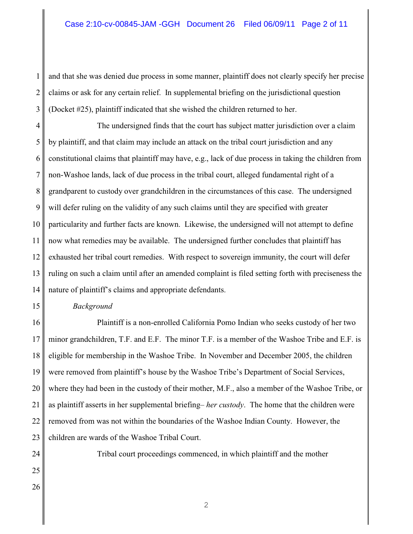1 2 3 and that she was denied due process in some manner, plaintiff does not clearly specify her precise claims or ask for any certain relief. In supplemental briefing on the jurisdictional question (Docket #25), plaintiff indicated that she wished the children returned to her.

4 5 6 7 8 9 10 11 12 13 14 The undersigned finds that the court has subject matter jurisdiction over a claim by plaintiff, and that claim may include an attack on the tribal court jurisdiction and any constitutional claims that plaintiff may have, e.g., lack of due process in taking the children from non-Washoe lands, lack of due process in the tribal court, alleged fundamental right of a grandparent to custody over grandchildren in the circumstances of this case. The undersigned will defer ruling on the validity of any such claims until they are specified with greater particularity and further facts are known. Likewise, the undersigned will not attempt to define now what remedies may be available. The undersigned further concludes that plaintiff has exhausted her tribal court remedies. With respect to sovereign immunity, the court will defer ruling on such a claim until after an amended complaint is filed setting forth with preciseness the nature of plaintiff's claims and appropriate defendants.

## *Background*

16 17 18 19 20 21 Plaintiff is a non-enrolled California Pomo Indian who seeks custody of her two minor grandchildren, T.F. and E.F. The minor T.F. is a member of the Washoe Tribe and E.F. is eligible for membership in the Washoe Tribe. In November and December 2005, the children were removed from plaintiff's house by the Washoe Tribe's Department of Social Services, where they had been in the custody of their mother, M.F., also a member of the Washoe Tribe, or as plaintiff asserts in her supplemental briefing– *her custody*. The home that the children were removed from was not within the boundaries of the Washoe Indian County. However, the children are wards of the Washoe Tribal Court.

Tribal court proceedings commenced, in which plaintiff and the mother

26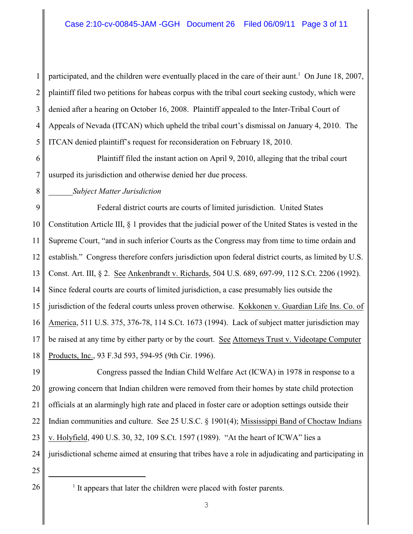1 2 3 4 5 participated, and the children were eventually placed in the care of their aunt.<sup>1</sup> On June 18, 2007, plaintiff filed two petitions for habeas corpus with the tribal court seeking custody, which were denied after a hearing on October 16, 2008. Plaintiff appealed to the Inter-Tribal Court of Appeals of Nevada (ITCAN) which upheld the tribal court's dismissal on January 4, 2010. The ITCAN denied plaintiff's request for reconsideration on February 18, 2010.

6 7 Plaintiff filed the instant action on April 9, 2010, alleging that the tribal court usurped its jurisdiction and otherwise denied her due process.

## *Subject Matter Jurisdiction*

9 10 11 12 13 14 15 16 17 18 Federal district courts are courts of limited jurisdiction. United States Constitution Article III, § 1 provides that the judicial power of the United States is vested in the Supreme Court, "and in such inferior Courts as the Congress may from time to time ordain and establish." Congress therefore confers jurisdiction upon federal district courts, as limited by U.S. Const. Art. III, § 2. See Ankenbrandt v. Richards, 504 U.S. 689, 697-99, 112 S.Ct. 2206 (1992). Since federal courts are courts of limited jurisdiction, a case presumably lies outside the jurisdiction of the federal courts unless proven otherwise. Kokkonen v. Guardian Life Ins. Co. of America, 511 U.S. 375, 376-78, 114 S.Ct. 1673 (1994). Lack of subject matter jurisdiction may be raised at any time by either party or by the court. See Attorneys Trust v. Videotape Computer Products, Inc., 93 F.3d 593, 594-95 (9th Cir. 1996).

19 20 21 22 23 24 Congress passed the Indian Child Welfare Act (ICWA) in 1978 in response to a growing concern that Indian children were removed from their homes by state child protection officials at an alarmingly high rate and placed in foster care or adoption settings outside their Indian communities and culture. See 25 U.S.C. § 1901(4); Mississippi Band of Choctaw Indians v. Holyfield, 490 U.S. 30, 32, 109 S.Ct. 1597 (1989). "At the heart of ICWA" lies a jurisdictional scheme aimed at ensuring that tribes have a role in adjudicating and participating in

25

 $26 \parallel$  <sup>1</sup> It appears that later the children were placed with foster parents.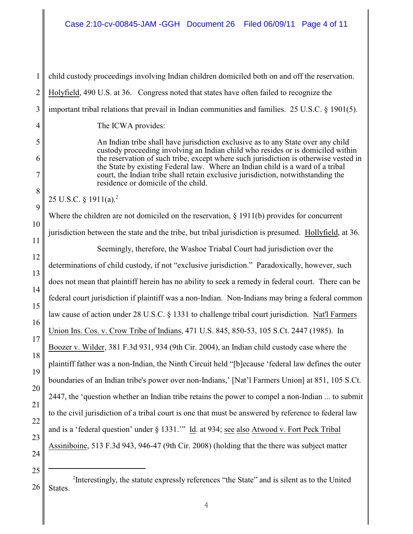1 2 3 4 5 6 7 8 9 10 11 12 13 14 15 16 17 18 19 20 21 22 23 24 25 child custody proceedings involving Indian children domiciled both on and off the reservation. Holyfield, 490 U.S. at 36. Congress noted that states have often failed to recognize the important tribal relations that prevail in Indian communities and families. 25 U.S.C. § 1901(5). The ICWA provides: An Indian tribe shall have jurisdiction exclusive as to any State over any child custody proceeding involving an Indian child who resides or is domiciled within the reservation of such tribe, except where such jurisdiction is otherwise vested in the State by existing Federal law. Where an Indian child is a ward of a tribal court, the Indian tribe shall retain exclusive jurisdiction, notwithstanding the residence or domicile of the child. 25 U.S.C.  $\S 1911(a).^2$ Where the children are not domiciled on the reservation,  $\S 1911(b)$  provides for concurrent jurisdiction between the state and the tribe, but tribal jurisdiction is presumed. Hollyfield, at 36. Seemingly, therefore, the Washoe Triabal Court had jurisdiction over the determinations of child custody, if not "exclusive jurisdiction." Paradoxically, however, such does not mean that plaintiff herein has no ability to seek a remedy in federal court. There can be federal court jurisdiction if plaintiff was a non-Indian. Non-Indians may bring a federal common law cause of action under 28 U.S.C. § 1331 to challenge tribal court jurisdiction. Nat'l Farmers Union Ins. Cos. v. Crow Tribe of Indians, 471 U.S. 845, 850-53, 105 S.Ct. 2447 (1985). In Boozer v. Wilder, 381 F.3d 931, 934 (9th Cir. 2004), an Indian child custody case where the plaintiff father was a non-Indian, the Ninth Circuit held "[b]ecause 'federal law defines the outer boundaries of an Indian tribe's power over non-Indians,' [Nat'l Farmers Union] at 851, 105 S.Ct. 2447, the 'question whether an Indian tribe retains the power to compel a non-Indian ... to submit to the civil jurisdiction of a tribal court is one that must be answered by reference to federal law and is a 'federal question' under § 1331." Id. at 934; see also Atwood v. Fort Peck Tribal Assiniboine, 513 F.3d 943, 946-47 (9th Cir. 2008) (holding that the there was subject matter

26 <sup>2</sup>Interestingly, the statute expressly references "the State" and is silent as to the United States.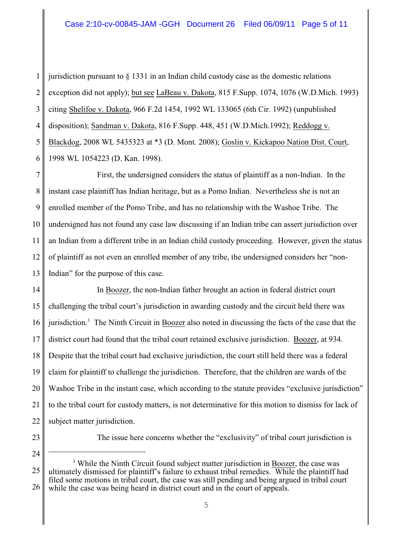1 2 3 4 5 6 jurisdiction pursuant to  $\S$  1331 in an Indian child custody case as the domestic relations exception did not apply); but see LaBeau v. Dakota, 815 F.Supp. 1074, 1076 (W.D.Mich. 1993) citing Shelifoe v. Dakota, 966 F.2d 1454, 1992 WL 133065 (6th Cir. 1992) (unpublished disposition); Sandman v. Dakota, 816 F.Supp. 448, 451 (W.D.Mich.1992); Reddogg v. Blackdog, 2008 WL 5435323 at \*3 (D. Mont. 2008); Goslin v. Kickapoo Nation Dist. Court, 1998 WL 1054223 (D. Kan. 1998).

7 8 9 10 11 12 13 First, the undersigned considers the status of plaintiff as a non-Indian. In the instant case plaintiff has Indian heritage, but as a Pomo Indian. Nevertheless she is not an enrolled member of the Pomo Tribe, and has no relationship with the Washoe Tribe. The undersigned has not found any case law discussing if an Indian tribe can assert jurisdiction over an Indian from a different tribe in an Indian child custody proceeding. However, given the status of plaintiff as not even an enrolled member of any tribe, the undersigned considers her "non-Indian" for the purpose of this case.

14 15 16 17 18 19 20 21 22 In Boozer, the non-Indian father brought an action in federal district court challenging the tribal court's jurisdiction in awarding custody and the circuit held there was jurisdiction.<sup>3</sup> The Ninth Circuit in Boozer also noted in discussing the facts of the case that the district court had found that the tribal court retained exclusive jurisdiction. Boozer, at 934. Despite that the tribal court had exclusive jurisdiction, the court still held there was a federal claim for plaintiff to challenge the jurisdiction. Therefore, that the children are wards of the Washoe Tribe in the instant case, which according to the statute provides "exclusive jurisdiction" to the tribal court for custody matters, is not determinative for this motion to dismiss for lack of subject matter jurisdiction.

23

24

The issue here concerns whether the "exclusivity" of tribal court jurisdiction is

<sup>25</sup> 26 <sup>3</sup> While the Ninth Circuit found subject matter jurisdiction in Boozer, the case was ultimately dismissed for plaintiff's failure to exhaust tribal remedies. While the plaintiff had filed some motions in tribal court, the case was still pending and being argued in tribal court while the case was being heard in district court and in the court of appeals.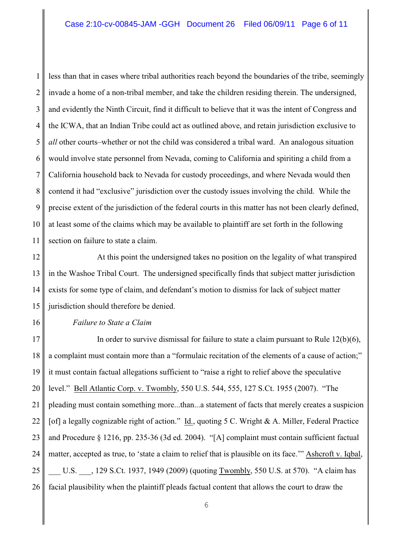1 2 3 4 5 6 7 8 9 10 11 less than that in cases where tribal authorities reach beyond the boundaries of the tribe, seemingly invade a home of a non-tribal member, and take the children residing therein. The undersigned, and evidently the Ninth Circuit, find it difficult to believe that it was the intent of Congress and the ICWA, that an Indian Tribe could act as outlined above, and retain jurisdiction exclusive to *all* other courts–whether or not the child was considered a tribal ward. An analogous situation would involve state personnel from Nevada, coming to California and spiriting a child from a California household back to Nevada for custody proceedings, and where Nevada would then contend it had "exclusive" jurisdiction over the custody issues involving the child. While the precise extent of the jurisdiction of the federal courts in this matter has not been clearly defined, at least some of the claims which may be available to plaintiff are set forth in the following section on failure to state a claim.

12 13 14 15 At this point the undersigned takes no position on the legality of what transpired in the Washoe Tribal Court. The undersigned specifically finds that subject matter jurisdiction exists for some type of claim, and defendant's motion to dismiss for lack of subject matter jurisdiction should therefore be denied.

*Failure to State a Claim*

16

17 18 19 20 21 22 23 24 25 26 In order to survive dismissal for failure to state a claim pursuant to Rule  $12(b)(6)$ , a complaint must contain more than a "formulaic recitation of the elements of a cause of action;" it must contain factual allegations sufficient to "raise a right to relief above the speculative level." Bell Atlantic Corp. v. Twombly, 550 U.S. 544, 555, 127 S.Ct. 1955 (2007). "The pleading must contain something more...than...a statement of facts that merely creates a suspicion [of] a legally cognizable right of action." Id., quoting 5 C. Wright & A. Miller, Federal Practice and Procedure § 1216, pp. 235-36 (3d ed. 2004). "[A] complaint must contain sufficient factual matter, accepted as true, to 'state a claim to relief that is plausible on its face.'" Ashcroft v. Iqbal, U.S. 129 S.Ct. 1937, 1949 (2009) (quoting Twombly, 550 U.S. at 570). "A claim has facial plausibility when the plaintiff pleads factual content that allows the court to draw the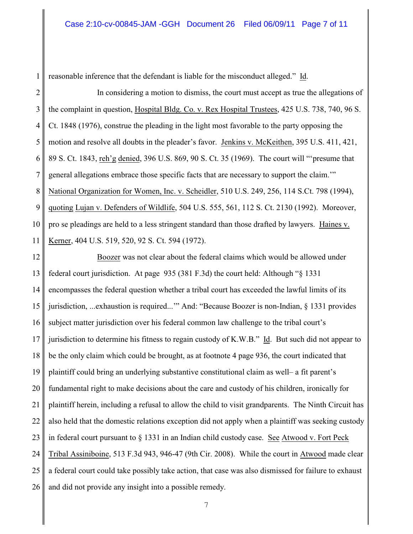reasonable inference that the defendant is liable for the misconduct alleged." Id.

2 3 4 5 6 7 8 9 10 11 In considering a motion to dismiss, the court must accept as true the allegations of the complaint in question, Hospital Bldg. Co. v. Rex Hospital Trustees, 425 U.S. 738, 740, 96 S. Ct. 1848 (1976), construe the pleading in the light most favorable to the party opposing the motion and resolve all doubts in the pleader's favor. Jenkins v. McKeithen, 395 U.S. 411, 421, 89 S. Ct. 1843, reh'g denied, 396 U.S. 869, 90 S. Ct. 35 (1969). The court will "'presume that general allegations embrace those specific facts that are necessary to support the claim.'" National Organization for Women, Inc. v. Scheidler, 510 U.S. 249, 256, 114 S.Ct. 798 (1994), quoting Lujan v. Defenders of Wildlife, 504 U.S. 555, 561, 112 S. Ct. 2130 (1992). Moreover, pro se pleadings are held to a less stringent standard than those drafted by lawyers. Haines v. Kerner, 404 U.S. 519, 520, 92 S. Ct. 594 (1972).

12 13 14 15 16 17 18 19 20 21 22 23 24 25 26 Boozer was not clear about the federal claims which would be allowed under federal court jurisdiction. At page 935 (381 F.3d) the court held: Although "§ 1331 encompasses the federal question whether a tribal court has exceeded the lawful limits of its jurisdiction, ...exhaustion is required...'" And: "Because Boozer is non-Indian, § 1331 provides subject matter jurisdiction over his federal common law challenge to the tribal court's jurisdiction to determine his fitness to regain custody of K.W.B." Id. But such did not appear to be the only claim which could be brought, as at footnote 4 page 936, the court indicated that plaintiff could bring an underlying substantive constitutional claim as well– a fit parent's fundamental right to make decisions about the care and custody of his children, ironically for plaintiff herein, including a refusal to allow the child to visit grandparents. The Ninth Circuit has also held that the domestic relations exception did not apply when a plaintiff was seeking custody in federal court pursuant to § 1331 in an Indian child custody case. See Atwood v. Fort Peck Tribal Assiniboine, 513 F.3d 943, 946-47 (9th Cir. 2008). While the court in Atwood made clear a federal court could take possibly take action, that case was also dismissed for failure to exhaust and did not provide any insight into a possible remedy.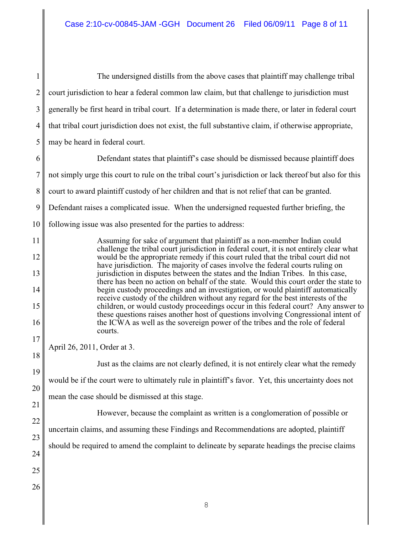1 2 3 4 5 The undersigned distills from the above cases that plaintiff may challenge tribal court jurisdiction to hear a federal common law claim, but that challenge to jurisdiction must generally be first heard in tribal court. If a determination is made there, or later in federal court that tribal court jurisdiction does not exist, the full substantive claim, if otherwise appropriate, may be heard in federal court.

6 7 8 9 10 Defendant states that plaintiff's case should be dismissed because plaintiff does not simply urge this court to rule on the tribal court's jurisdiction or lack thereof but also for this court to award plaintiff custody of her children and that is not relief that can be granted. Defendant raises a complicated issue. When the undersigned requested further briefing, the following issue was also presented for the parties to address:

> Assuming for sake of argument that plaintiff as a non-member Indian could challenge the tribal court jurisdiction in federal court, it is not entirely clear what would be the appropriate remedy if this court ruled that the tribal court did not have jurisdiction. The majority of cases involve the federal courts ruling on jurisdiction in disputes between the states and the Indian Tribes. In this case, there has been no action on behalf of the state. Would this court order the state to begin custody proceedings and an investigation, or would plaintiff automatically receive custody of the children without any regard for the best interests of the children, or would custody proceedings occur in this federal court? Any answer to these questions raises another host of questions involving Congressional intent of the ICWA as well as the sovereign power of the tribes and the role of federal courts.

April 26, 2011, Order at 3.

Just as the claims are not clearly defined, it is not entirely clear what the remedy would be if the court were to ultimately rule in plaintiff's favor. Yet, this uncertainty does not mean the case should be dismissed at this stage.

However, because the complaint as written is a conglomeration of possible or uncertain claims, and assuming these Findings and Recommendations are adopted, plaintiff

23 should be required to amend the complaint to delineate by separate headings the precise claims

11

12

13

14

15

16

17

18

19

20

21

22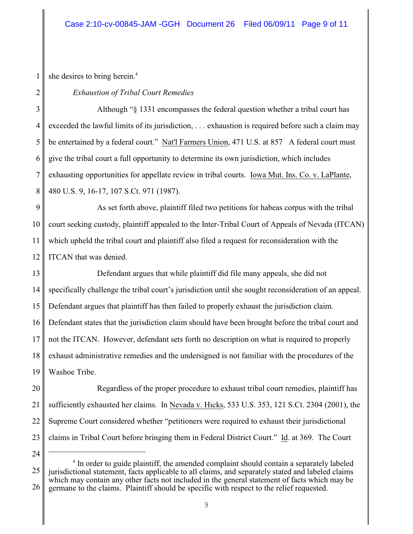she desires to bring herein.<sup>4</sup>

1

2

## *Exhaustion of Tribal Court Remedies*

3 4 5 6 7 8 Although "§ 1331 encompasses the federal question whether a tribal court has exceeded the lawful limits of its jurisdiction, . . . exhaustion is required before such a claim may be entertained by a federal court." Nat'l Farmers Union, 471 U.S. at 857 A federal court must give the tribal court a full opportunity to determine its own jurisdiction, which includes exhausting opportunities for appellate review in tribal courts. Iowa Mut. Ins. Co. v. LaPlante, 480 U.S. 9, 16-17, 107 S.Ct. 971 (1987).

9 10 11 12 As set forth above, plaintiff filed two petitions for habeas corpus with the tribal court seeking custody, plaintiff appealed to the Inter-Tribal Court of Appeals of Nevada (ITCAN) which upheld the tribal court and plaintiff also filed a request for reconsideration with the ITCAN that was denied.

13 14 15 16 17 18 19 Defendant argues that while plaintiff did file many appeals, she did not specifically challenge the tribal court's jurisdiction until she sought reconsideration of an appeal. Defendant argues that plaintiff has then failed to properly exhaust the jurisdiction claim. Defendant states that the jurisdiction claim should have been brought before the tribal court and not the ITCAN. However, defendant sets forth no description on what is required to properly exhaust administrative remedies and the undersigned is not familiar with the procedures of the Washoe Tribe.

20 21 Regardless of the proper procedure to exhaust tribal court remedies, plaintiff has sufficiently exhausted her claims. In Nevada v. Hicks, 533 U.S. 353, 121 S.Ct. 2304 (2001), the Supreme Court considered whether "petitioners were required to exhaust their jurisdictional claims in Tribal Court before bringing them in Federal District Court." Id. at 369. The Court

<sup>22</sup> 23 24

<sup>25</sup> 26 <sup>4</sup> In order to guide plaintiff, the amended complaint should contain a separately labeled jurisdictional statement, facts applicable to all claims, and separately stated and labeled claims which may contain any other facts not included in the general statement of facts which may be germane to the claims. Plaintiff should be specific with respect to the relief requested.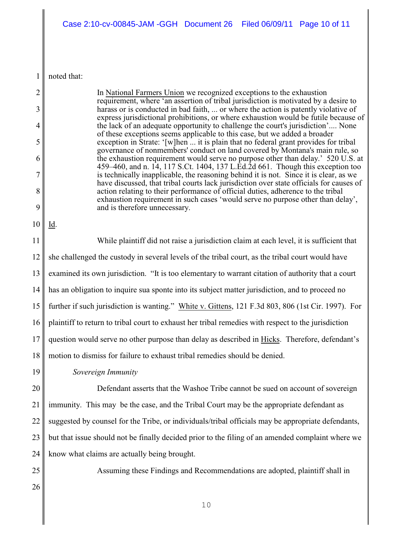1 noted that:

2

3

4

5

6

7

8

9

10

In National Farmers Union we recognized exceptions to the exhaustion requirement, where 'an assertion of tribal jurisdiction is motivated by a desire to harass or is conducted in bad faith, ... or where the action is patently violative of express jurisdictional prohibitions, or where exhaustion would be futile because of the lack of an adequate opportunity to challenge the court's jurisdiction'.... None of these exceptions seems applicable to this case, but we added a broader exception in Strate: '[w]hen ... it is plain that no federal grant provides for tribal governance of nonmembers' conduct on land covered by Montana's main rule, so the exhaustion requirement would serve no purpose other than delay.' 520 U.S. at 459–460, and n. 14, 117 S.Ct. 1404, 137 L.Ed.2d 661. Though this exception too is technically inapplicable, the reasoning behind it is not. Since it is clear, as we have discussed, that tribal courts lack jurisdiction over state officials for causes of action relating to their performance of official duties, adherence to the tribal exhaustion requirement in such cases 'would serve no purpose other than delay', and is therefore unnecessary. Id. While plaintiff did not raise a jurisdiction claim at each level, it is sufficient that

11 12 13 14 15 16 17 18 she challenged the custody in several levels of the tribal court, as the tribal court would have examined its own jurisdiction. "It is too elementary to warrant citation of authority that a court has an obligation to inquire sua sponte into its subject matter jurisdiction, and to proceed no further if such jurisdiction is wanting." White v. Gittens, 121 F.3d 803, 806 (1st Cir. 1997). For plaintiff to return to tribal court to exhaust her tribal remedies with respect to the jurisdiction question would serve no other purpose than delay as described in Hicks. Therefore, defendant's motion to dismiss for failure to exhaust tribal remedies should be denied.

*Sovereign Immunity*

20 21 22 23 24 Defendant asserts that the Washoe Tribe cannot be sued on account of sovereign immunity. This may be the case, and the Tribal Court may be the appropriate defendant as suggested by counsel for the Tribe, or individuals/tribal officials may be appropriate defendants, but that issue should not be finally decided prior to the filing of an amended complaint where we know what claims are actually being brought.

Assuming these Findings and Recommendations are adopted, plaintiff shall in

26

25